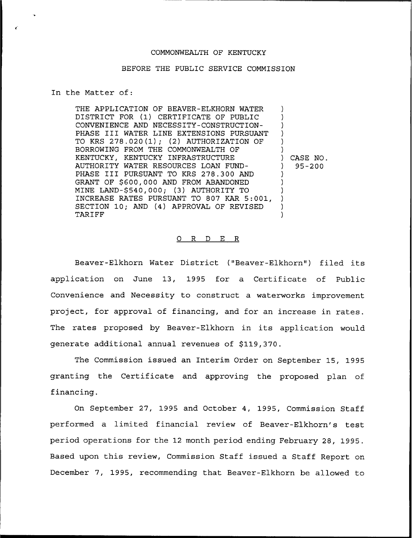### COMMONWEALTH OF KENTUCKY

### BEFORE THE PUBLIC SERVICE COMMISSION

### In the Matter of:

THE APPLICATION OF BEAVER-ELKHORN WATER DISTRICT FOR (1) CERTIFICATE OF PUBLIC CONVENIENCE AND NECESSITY-CONSTRUCTION-PHASE III WATER LINE EXTENSIONS PURSUANT TO KRS 278.020(1); (2) AUTHORIZATION OF BORROWING FROM THE COMMONWEALTH OF KENTUCKY, KENTUCKY INFRASTRUCTURE AUTHORITY WATER RESOURCES LOAN FUND-PHASE III PURSUANT TO KRS 278.300 AND GRANT OF \$600,000 AND FROM ABANDONED MINE LAND-\$540,000; (3) AUTHORITY TO INCREASE RATES PURSUANT TO 807 KAR 5:001, SECTION 10; AND (4) APPROVAL OF REVISED TARIFF ) ) ) ) ) ) ) CASE NO. ) 95-200 ) ) ) ) ) )

#### 0 R <sup>D</sup> E R

Beaver-Elkhorn Water District ("Beaver-Elkhorn") filed its application on June 13, 1995 for a Certificate of Public Convenience and Necessity to construct a waterworks improvement project, for approval of financing, and for an increase in rates. The rates proposed by Beaver-Elkhorn in its application would generate additional annual revenues of \$119,370.

The Commission issued an Interim Order on September 15, 1995 granting the Certificate and approving the proposed plan of financing.

On September 27, 1995 and October 4, 1995, Commission Staff performed a limited financial review of Beaver-Elkhorn's test period operations for the 12 month period ending February 28, 1995. Based upon this review, Commission Staff issued a Staff Report on December 7, 1995, recommending that Beaver-Elkhorn be allowed to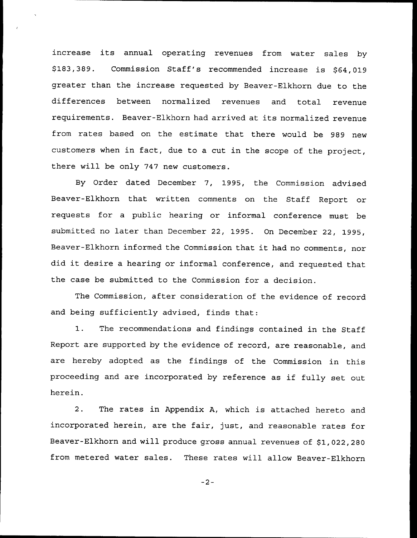increase its annual operating revenues from water sales by \$183,389. Commission Staff's recommended increase is \$64,019 greater than the increase requested by Beaver-Elkhorn due to the differences between normalized revenues and total revenu requirements. Beaver-Elkhorn had arrived at its normalized revenue from rates based on the estimate that there would be 989 new customers when in fact, due to <sup>a</sup> cut in the scope of the project, there will be only 747 new customers.

By Order dated December 7, 1995, the Commission advised Beaver-Elkhorn that written comments on the Staff Report or requests for a public hearing or informal conference must be submitted no later than December 22, 1995. On December 22, 1995, Beaver-Elkhorn informed the Commission that it had no comments, nor did it desire <sup>a</sup> hearing or informal conference, and requested that the case be submitted to the Commission for a decision.

The Commission, after consideration of the evidence of record and being sufficiently advised, finds that:

1. The recommendations and findings contained in the Staff Report are supported by the evidence of record, are reasonable, and are hereby adopted as the findings of the Commission in this proceeding and are incorporated by reference as if fully set out herein.

2. The rates in Appendix A, which is attached hereto and incorporated herein, are the fair, just, and reasonable rates for Beaver-Elkhorn and will produce gross annual revenues of \$1,022,280 from metered water sales. These rates will allow Beaver-Elkhorn

 $-2-$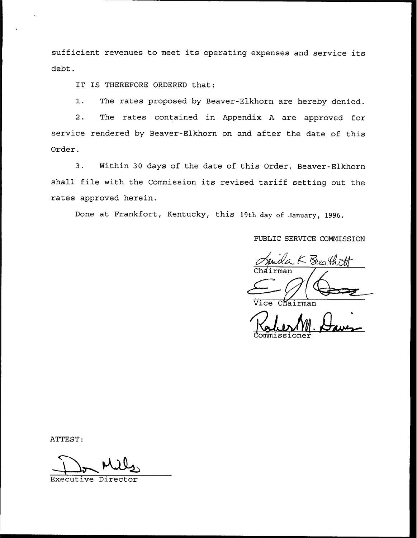sufficient revenues to meet its operating expenses and service its debt.

IT IS THEREFORE ORDERED that:

1. The rates proposed by Beaver-Elkhorn are hereby denied.

2. The rates contained in Appendix <sup>A</sup> are approved for service rendered by Beaver-Elkhorn on and after the date of this Order.

3. Within 30 days of the date of this Order, Beaver-Elkhorn shall file with the Commission its revised tariff setting out the rates approved herein.

Done at Frankfort, Kentucky, this 19th day of January, 1996.

PUBLIC SERVICE COMMISSION

K Breathi

Vice Chairman

ATTEST:

Executive Dire